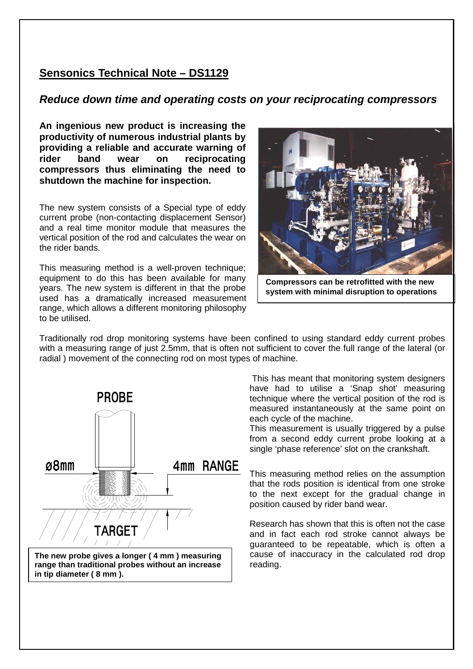## **Sensonics Technical Note – DS1129**

## **Reduce down time and operating costs on your reciprocating compressors**

**An ingenious new product is increasing the productivity of numerous industrial plants by providing a reliable and accurate warning of rider band wear on reciprocating compressors thus eliminating the need to shutdown the machine for inspection.** 

The new system consists of a Special type of eddy current probe (non-contacting displacement Sensor) and a real time monitor module that measures the vertical position of the rod and calculates the wear on the rider bands.

This measuring method is a well-proven technique; equipment to do this has been available for many years. The new system is different in that the probe used has a dramatically increased measurement range, which allows a different monitoring philosophy to be utilised.



**Compressors can be retrofitted with the new system with minimal disruption to operations** 

Traditionally rod drop monitoring systems have been confined to using standard eddy current probes with a measuring range of just 2.5mm, that is often not sufficient to cover the full range of the lateral (or radial ) movement of the connecting rod on most types of machine.



**The new probe gives a longer ( 4 mm ) measuring range than traditional probes without an increase in tip diameter ( 8 mm ).** 

 This has meant that monitoring system designers have had to utilise a 'Snap shot' measuring technique where the vertical position of the rod is measured instantaneously at the same point on each cycle of the machine.

This measurement is usually triggered by a pulse from a second eddy current probe looking at a single 'phase reference' slot on the crankshaft.

This measuring method relies on the assumption that the rods position is identical from one stroke to the next except for the gradual change in position caused by rider band wear.

Research has shown that this is often not the case and in fact each rod stroke cannot always be guaranteed to be repeatable, which is often a cause of inaccuracy in the calculated rod drop reading.